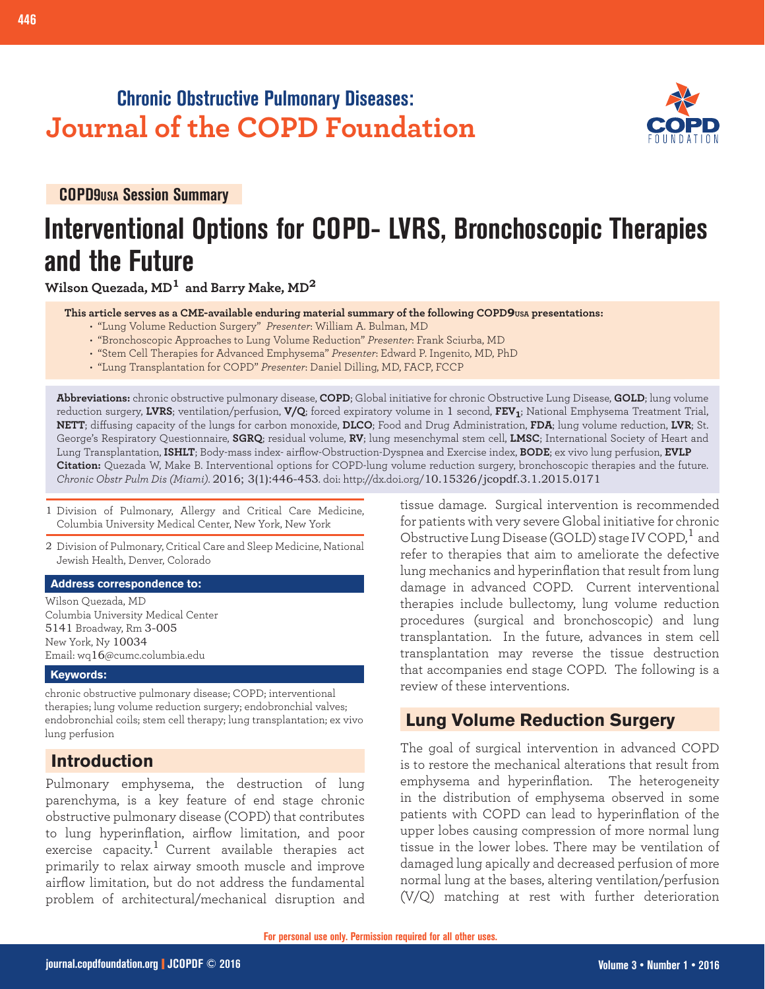## **Chronic Obstructive Pulmonary Diseases: Journal of the COPD Foundation**



**COPD9USA Session Summary**

## **Interventional Options for COPD- LVRS, Bronchoscopic Therapies and the Future**

**Wilson Quezada, MD1 and Barry Make, MD<sup>2</sup>**

 **This article serves as a CME-available enduring material summary of the following COPD9USA presentations:**

- "Lung Volume Reduction Surgery" *Presenter*: William A. Bulman, MD
- "Bronchoscopic Approaches to Lung Volume Reduction" *Presenter*: Frank Sciurba, MD
- "Stem Cell Therapies for Advanced Emphysema" *Presenter*: Edward P. Ingenito, MD, PhD
- "Lung Transplantation for COPD" *Presenter*: Daniel Dilling, MD, FACP, FCCP

**Abbreviations:** chronic obstructive pulmonary disease, **COPD**; Global initiative for chronic Obstructive Lung Disease, **GOLD**; lung volume reduction surgery, **LVRS**; ventilation/perfusion, **V/Q**; forced expiratory volume in 1 second, **FEV1**; National Emphysema Treatment Trial, **NETT**; diffusing capacity of the lungs for carbon monoxide, **DLCO**; Food and Drug Administration, **FDA**; lung volume reduction, **LVR**; St. George's Respiratory Questionnaire, **SGRQ**; residual volume, **RV**; lung mesenchymal stem cell, **LMSC**; International Society of Heart and Lung Transplantation, **ISHLT**; Body-mass index- airflow-Obstruction-Dyspnea and Exercise index, **BODE**; ex vivo lung perfusion, **EVLP Citation:** Quezada W, Make B. Interventional options for COPD-lung volume reduction surgery, bronchoscopic therapies and the future. *Chronic Obstr Pulm Dis (Miami)*. 2016; 3(1):446-453. doi: http://dx.doi.org/10.15326/jcopdf.3.1.2015.0171

- 1 Division of Pulmonary, Allergy and Critical Care Medicine, Columbia University Medical Center, New York, New York
- 2 Division of Pulmonary, Critical Care and Sleep Medicine, National Jewish Health, Denver, Colorado

#### **Address correspondence to:**

Wilson Quezada, MD Columbia University Medical Center 5141 Broadway, Rm 3-005 New York, Ny 10034 Email: wq16@cumc.columbia.edu

#### **Keywords:**

chronic obstructive pulmonary disease; COPD; interventional therapies; lung volume reduction surgery; endobronchial valves; endobronchial coils; stem cell therapy; lung transplantation; ex vivo lung perfusion

## **Introduction**

Pulmonary emphysema, the destruction of lung parenchyma, is a key feature of end stage chronic obstructive pulmonary disease (COPD) that contributes to lung hyperinflation, airflow limitation, and poor exercise capacity.<sup>1</sup> Current available therapies act primarily to relax airway smooth muscle and improve airflow limitation, but do not address the fundamental problem of architectural/mechanical disruption and

tissue damage. Surgical intervention is recommended for patients with very severe Global initiative for chronic Obstructive Lung Disease (GOLD) stage IV COPD,<sup>1</sup> and refer to therapies that aim to ameliorate the defective lung mechanics and hyperinflation that result from lung damage in advanced COPD. Current interventional therapies include bullectomy, lung volume reduction procedures (surgical and bronchoscopic) and lung transplantation. In the future, advances in stem cell transplantation may reverse the tissue destruction that accompanies end stage COPD. The following is a review of these interventions.

## **Lung Volume Reduction Surgery**

The goal of surgical intervention in advanced COPD is to restore the mechanical alterations that result from emphysema and hyperinflation. The heterogeneity in the distribution of emphysema observed in some patients with COPD can lead to hyperinflation of the upper lobes causing compression of more normal lung tissue in the lower lobes. There may be ventilation of damaged lung apically and decreased perfusion of more normal lung at the bases, altering ventilation/perfusion (V/Q) matching at rest with further deterioration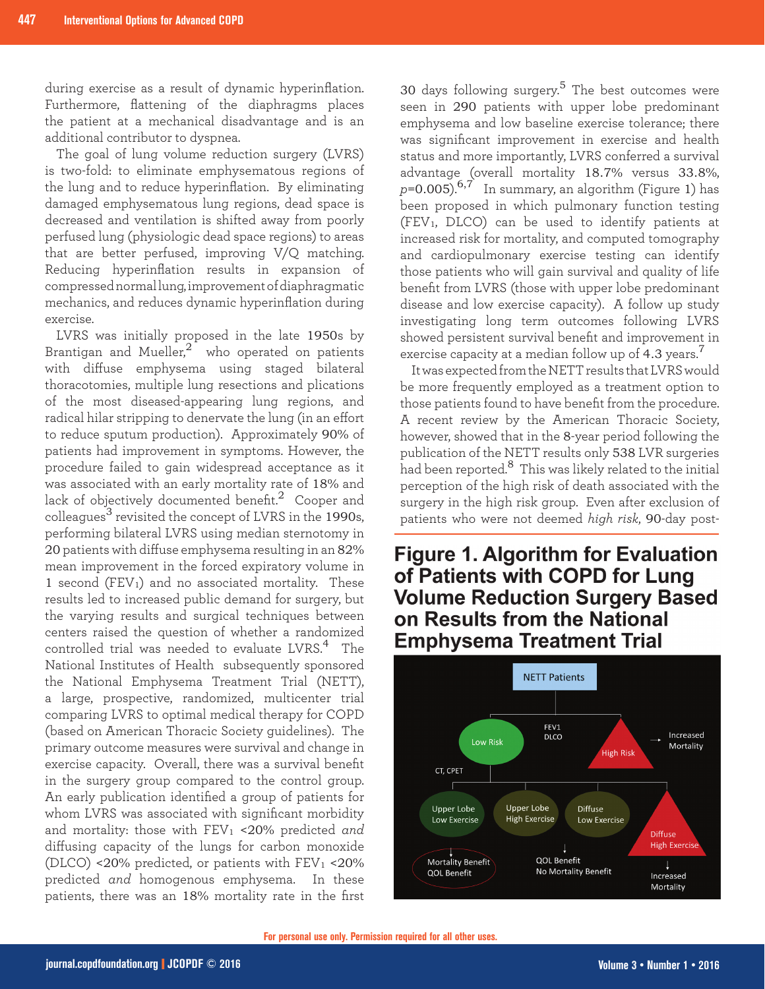during exercise as a result of dynamic hyperinflation. Furthermore, flattening of the diaphragms places the patient at a mechanical disadvantage and is an additional contributor to dyspnea.

The goal of lung volume reduction surgery (LVRS) is two-fold: to eliminate emphysematous regions of the lung and to reduce hyperinflation. By eliminating damaged emphysematous lung regions, dead space is decreased and ventilation is shifted away from poorly perfused lung (physiologic dead space regions) to areas that are better perfused, improving V/Q matching. Reducing hyperinflation results in expansion of compressed normal lung, improvement of diaphragmatic mechanics, and reduces dynamic hyperinflation during exercise.

LVRS was initially proposed in the late 1950s by Brantigan and Mueller, $^2$  who operated on patients with diffuse emphysema using staged bilateral thoracotomies, multiple lung resections and plications of the most diseased-appearing lung regions, and radical hilar stripping to denervate the lung (in an effort to reduce sputum production). Approximately 90% of patients had improvement in symptoms. However, the procedure failed to gain widespread acceptance as it was associated with an early mortality rate of 18% and lack of objectively documented benefit.<sup>2</sup> Cooper and colleagues<sup>3</sup> revisited the concept of LVRS in the 1990s, performing bilateral LVRS using median sternotomy in 20 patients with diffuse emphysema resulting in an 82% mean improvement in the forced expiratory volume in 1 second ( $FEV<sub>1</sub>$ ) and no associated mortality. These results led to increased public demand for surgery, but the varying results and surgical techniques between centers raised the question of whether a randomized controlled trial was needed to evaluate LVRS.<sup>4</sup> The National Institutes of Health subsequently sponsored the National Emphysema Treatment Trial (NETT), a large, prospective, randomized, multicenter trial comparing LVRS to optimal medical therapy for COPD (based on American Thoracic Society guidelines). The primary outcome measures were survival and change in exercise capacity. Overall, there was a survival benefit in the surgery group compared to the control group. An early publication identified a group of patients for whom LVRS was associated with significant morbidity and mortality: those with FEV<sup>1</sup> <20% predicted *and* diffusing capacity of the lungs for carbon monoxide (DLCO) <20% predicted, or patients with  $FEV_1$  <20% predicted *and* homogenous emphysema. In these patients, there was an 18% mortality rate in the first

30 days following surgery.<sup>5</sup> The best outcomes were seen in 290 patients with upper lobe predominant emphysema and low baseline exercise tolerance; there was significant improvement in exercise and health status and more importantly, LVRS conferred a survival advantage (overall mortality 18.7% versus 33.8%,  $p=0.005$ <sup>6,7</sup> In summary, an algorithm (Figure 1) has been proposed in which pulmonary function testing (FEV1, DLCO) can be used to identify patients at increased risk for mortality, and computed tomography and cardiopulmonary exercise testing can identify those patients who will gain survival and quality of life benefit from LVRS (those with upper lobe predominant disease and low exercise capacity). A follow up study investigating long term outcomes following LVRS showed persistent survival benefit and improvement in exercise capacity at a median follow up of 4.3 years. $^{\prime}$ 

It was expected from the NETT results that LVRS would be more frequently employed as a treatment option to those patients found to have benefit from the procedure. A recent review by the American Thoracic Society, however, showed that in the 8-year period following the publication of the NETT results only 538 LVR surgeries had been reported.8 This was likely related to the initial perception of the high risk of death associated with the surgery in the high risk group. Even after exclusion of patients who were not deemed *high risk*, 90-day post-

## **Figure 1. Algorithm for Evaluation** of Patients with COPD for Lung **Volume Reduction Surgery Based** on Results from the National **Emphysema Treatment Trial**

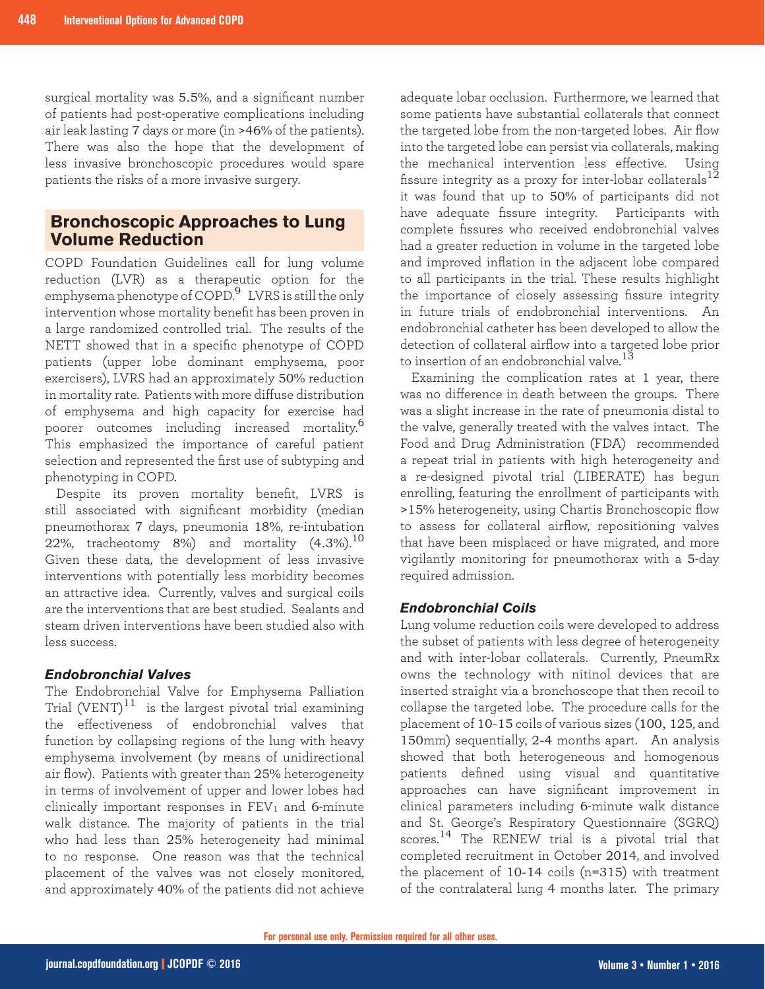surgical mortality was 5.5%, and a significant number of patients had post-operative complications including air leak lasting 7 days or more (in >46% of the patients). There was also the hope that the development of less invasive bronchoscopic procedures would spare patients the risks of a more invasive surgery.

## **Bronchoscopic Approaches to Lung Volume Reduction**

COPD Foundation Guidelines call for lung volume reduction (LVR) as a therapeutic option for the emphysema phenotype of COPD.9 LVRS is still the only intervention whose mortality benefit has been proven in a large randomized controlled trial. The results of the NETT showed that in a specific phenotype of COPD patients (upper lobe dominant emphysema, poor exercisers), LVRS had an approximately 50% reduction in mortality rate. Patients with more diffuse distribution of emphysema and high capacity for exercise had poorer outcomes including increased mortality.<sup>6</sup> This emphasized the importance of careful patient selection and represented the first use of subtyping and phenotyping in COPD.

Despite its proven mortality benefit, LVRS is still associated with significant morbidity (median pneumothorax 7 days, pneumonia 18%, re-intubation 22%, tracheotomy 8%) and mortality  $(4.3\%)$ .<sup>10</sup> Given these data, the development of less invasive interventions with potentially less morbidity becomes an attractive idea. Currently, valves and surgical coils are the interventions that are best studied. Sealants and steam driven interventions have been studied also with less success.

#### *Endobronchial Valves*

The Endobronchial Valve for Emphysema Palliation Trial  $(VENT)^{11}$  is the largest pivotal trial examining the effectiveness of endobronchial valves that function by collapsing regions of the lung with heavy emphysema involvement (by means of unidirectional air flow). Patients with greater than 25% heterogeneity in terms of involvement of upper and lower lobes had clinically important responses in  $FEV<sub>1</sub>$  and 6-minute walk distance. The majority of patients in the trial who had less than 25% heterogeneity had minimal to no response. One reason was that the technical placement of the valves was not closely monitored, and approximately 40% of the patients did not achieve

adequate lobar occlusion. Furthermore, we learned that some patients have substantial collaterals that connect the targeted lobe from the non-targeted lobes. Air flow into the targeted lobe can persist via collaterals, making the mechanical intervention less effective. Using fissure integrity as a proxy for inter-lobar collaterals<sup>12</sup> it was found that up to 50% of participants did not have adequate fissure integrity. Participants with complete fissures who received endobronchial valves had a greater reduction in volume in the targeted lobe and improved inflation in the adjacent lobe compared to all participants in the trial. These results highlight the importance of closely assessing fissure integrity in future trials of endobronchial interventions. An endobronchial catheter has been developed to allow the detection of collateral airflow into a targeted lobe prior to insertion of an endobronchial valve.<sup>13</sup>

Examining the complication rates at 1 year, there was no difference in death between the groups. There was a slight increase in the rate of pneumonia distal to the valve, generally treated with the valves intact. The Food and Drug Administration (FDA) recommended a repeat trial in patients with high heterogeneity and a re-designed pivotal trial (LIBERATE) has begun enrolling, featuring the enrollment of participants with >15% heterogeneity, using Chartis Bronchoscopic flow to assess for collateral airflow, repositioning valves that have been misplaced or have migrated, and more vigilantly monitoring for pneumothorax with a 5-day required admission.

#### *Endobronchial Coils*

Lung volume reduction coils were developed to address the subset of patients with less degree of heterogeneity and with inter-lobar collaterals. Currently, PneumRx owns the technology with nitinol devices that are inserted straight via a bronchoscope that then recoil to collapse the targeted lobe. The procedure calls for the placement of 10-15 coils of various sizes (100, 125, and 150mm) sequentially, 2-4 months apart. An analysis showed that both heterogeneous and homogenous patients defined using visual and quantitative approaches can have significant improvement in clinical parameters including 6-minute walk distance and St. George's Respiratory Questionnaire (SGRQ) scores.<sup>14</sup> The RENEW trial is a pivotal trial that completed recruitment in October 2014, and involved the placement of 10-14 coils (n=315) with treatment of the contralateral lung 4 months later. The primary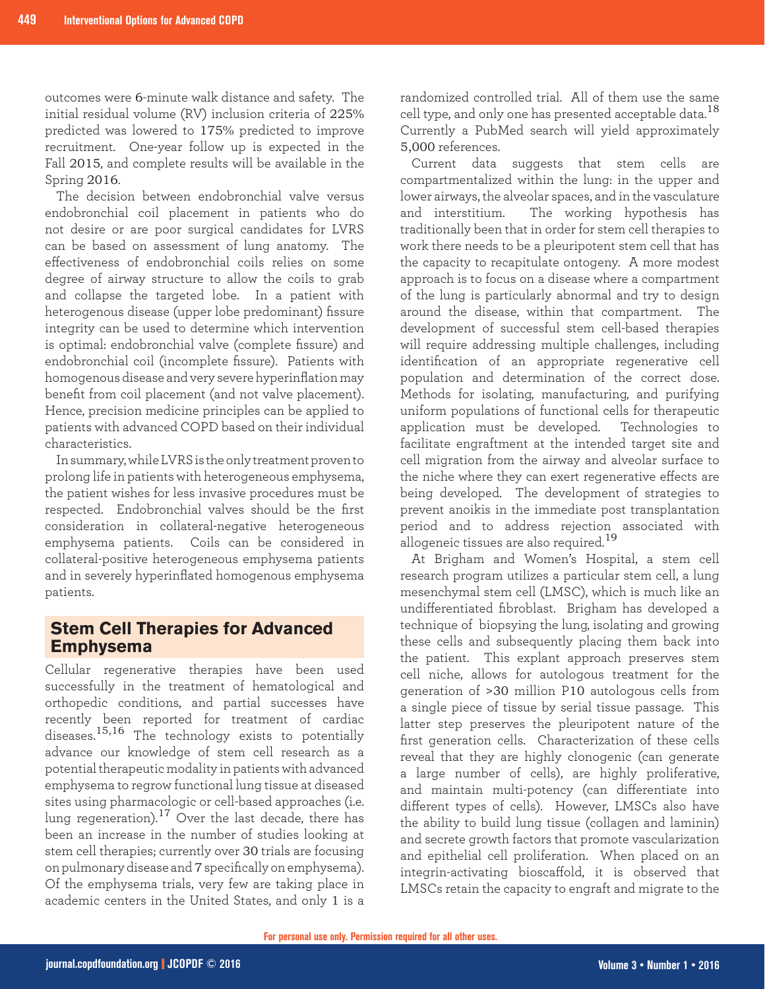outcomes were 6-minute walk distance and safety. The initial residual volume (RV) inclusion criteria of 225% predicted was lowered to 175% predicted to improve recruitment. One-year follow up is expected in the Fall 2015, and complete results will be available in the Spring 2016.

The decision between endobronchial valve versus endobronchial coil placement in patients who do not desire or are poor surgical candidates for LVRS can be based on assessment of lung anatomy. The effectiveness of endobronchial coils relies on some degree of airway structure to allow the coils to grab and collapse the targeted lobe. In a patient with heterogenous disease (upper lobe predominant) fissure integrity can be used to determine which intervention is optimal: endobronchial valve (complete fissure) and endobronchial coil (incomplete fissure). Patients with homogenous disease and very severe hyperinflation may benefit from coil placement (and not valve placement). Hence, precision medicine principles can be applied to patients with advanced COPD based on their individual characteristics.

In summary, while LVRS is the only treatment proven to prolong life in patients with heterogeneous emphysema, the patient wishes for less invasive procedures must be respected. Endobronchial valves should be the first consideration in collateral-negative heterogeneous emphysema patients. Coils can be considered in collateral-positive heterogeneous emphysema patients and in severely hyperinflated homogenous emphysema patients.

### **Stem Cell Therapies for Advanced Emphysema**

Cellular regenerative therapies have been used successfully in the treatment of hematological and orthopedic conditions, and partial successes have recently been reported for treatment of cardiac diseases.15,16 The technology exists to potentially advance our knowledge of stem cell research as a potential therapeutic modality in patients with advanced emphysema to regrow functional lung tissue at diseased sites using pharmacologic or cell-based approaches (i.e. lung regeneration).17 Over the last decade, there has been an increase in the number of studies looking at stem cell therapies; currently over 30 trials are focusing on pulmonary disease and 7 specifically on emphysema). Of the emphysema trials, very few are taking place in academic centers in the United States, and only 1 is a

randomized controlled trial. All of them use the same cell type, and only one has presented acceptable data.<sup>18</sup> Currently a PubMed search will yield approximately 5,000 references.

Current data suggests that stem cells are compartmentalized within the lung: in the upper and lower airways, the alveolar spaces, and in the vasculature and interstitium. The working hypothesis has traditionally been that in order for stem cell therapies to work there needs to be a pleuripotent stem cell that has the capacity to recapitulate ontogeny. A more modest approach is to focus on a disease where a compartment of the lung is particularly abnormal and try to design around the disease, within that compartment. The development of successful stem cell-based therapies will require addressing multiple challenges, including identification of an appropriate regenerative cell population and determination of the correct dose. Methods for isolating, manufacturing, and purifying uniform populations of functional cells for therapeutic application must be developed. Technologies to facilitate engraftment at the intended target site and cell migration from the airway and alveolar surface to the niche where they can exert regenerative effects are being developed. The development of strategies to prevent anoikis in the immediate post transplantation period and to address rejection associated with allogeneic tissues are also required.<sup>19</sup>

At Brigham and Women's Hospital, a stem cell research program utilizes a particular stem cell, a lung mesenchymal stem cell (LMSC), which is much like an undifferentiated fibroblast. Brigham has developed a technique of biopsying the lung, isolating and growing these cells and subsequently placing them back into the patient. This explant approach preserves stem cell niche, allows for autologous treatment for the generation of >30 million P10 autologous cells from a single piece of tissue by serial tissue passage. This latter step preserves the pleuripotent nature of the first generation cells. Characterization of these cells reveal that they are highly clonogenic (can generate a large number of cells), are highly proliferative, and maintain multi-potency (can differentiate into different types of cells). However, LMSCs also have the ability to build lung tissue (collagen and laminin) and secrete growth factors that promote vascularization and epithelial cell proliferation. When placed on an integrin-activating bioscaffold, it is observed that LMSCs retain the capacity to engraft and migrate to the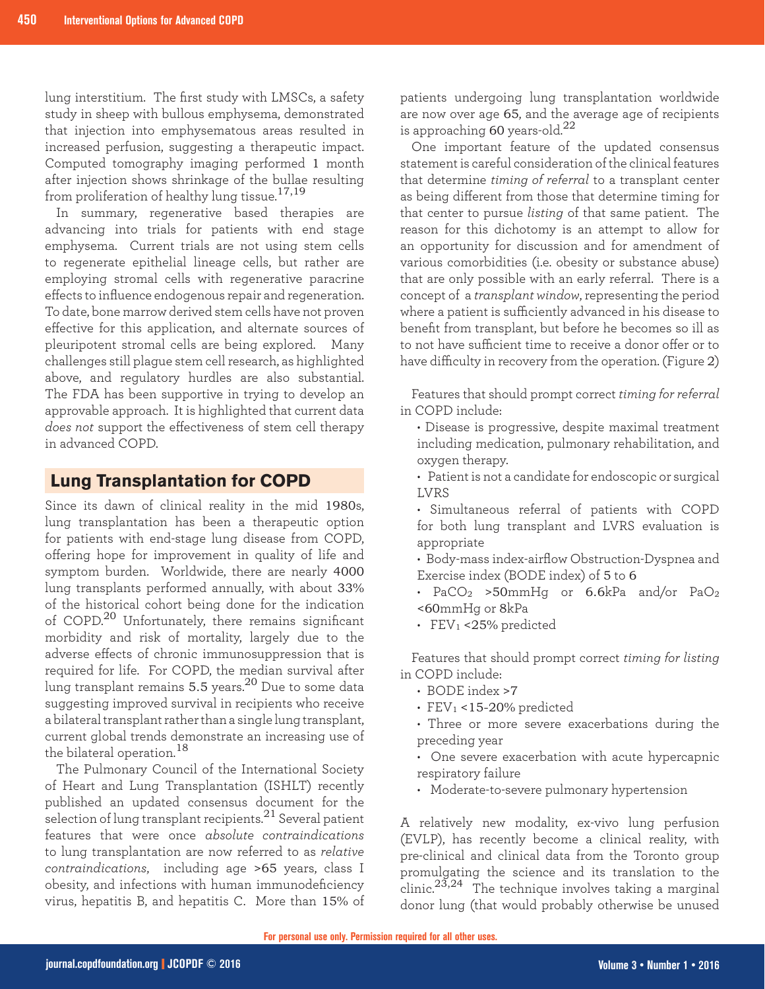lung interstitium. The first study with LMSCs, a safety study in sheep with bullous emphysema, demonstrated that injection into emphysematous areas resulted in increased perfusion, suggesting a therapeutic impact. Computed tomography imaging performed 1 month after injection shows shrinkage of the bullae resulting from proliferation of healthy lung tissue.<sup>17,19</sup>

In summary, regenerative based therapies are advancing into trials for patients with end stage emphysema. Current trials are not using stem cells to regenerate epithelial lineage cells, but rather are employing stromal cells with regenerative paracrine effects to influence endogenous repair and regeneration. To date, bone marrow derived stem cells have not proven effective for this application, and alternate sources of pleuripotent stromal cells are being explored. Many challenges still plague stem cell research, as highlighted above, and regulatory hurdles are also substantial. The FDA has been supportive in trying to develop an approvable approach. It is highlighted that current data *does not* support the effectiveness of stem cell therapy in advanced COPD.

### **Lung Transplantation for COPD**

Since its dawn of clinical reality in the mid 1980s, lung transplantation has been a therapeutic option for patients with end-stage lung disease from COPD, offering hope for improvement in quality of life and symptom burden. Worldwide, there are nearly 4000 lung transplants performed annually, with about 33% of the historical cohort being done for the indication of COPD.<sup>20</sup> Unfortunately, there remains significant morbidity and risk of mortality, largely due to the adverse effects of chronic immunosuppression that is required for life. For COPD, the median survival after lung transplant remains 5.5 years.<sup>20</sup> Due to some data suggesting improved survival in recipients who receive a bilateral transplant rather than a single lung transplant, current global trends demonstrate an increasing use of the bilateral operation.  $^{18}$ 

The Pulmonary Council of the International Society of Heart and Lung Transplantation (ISHLT) recently published an updated consensus document for the selection of lung transplant recipients.<sup>21</sup> Several patient features that were once *absolute contraindications* to lung transplantation are now referred to as *relative contraindications*, including age >65 years, class I obesity, and infections with human immunodeficiency virus, hepatitis B, and hepatitis C. More than 15% of

patients undergoing lung transplantation worldwide are now over age 65, and the average age of recipients is approaching 60 years-old.<sup>22</sup>

One important feature of the updated consensus statement is careful consideration of the clinical features that determine *timing of referral* to a transplant center as being different from those that determine timing for that center to pursue *listing* of that same patient. The reason for this dichotomy is an attempt to allow for an opportunity for discussion and for amendment of various comorbidities (i.e. obesity or substance abuse) that are only possible with an early referral. There is a concept of a *transplant window*, representing the period where a patient is sufficiently advanced in his disease to benefit from transplant, but before he becomes so ill as to not have sufficient time to receive a donor offer or to have difficulty in recovery from the operation. (Figure 2)

Features that should prompt correct *timing for referral* in COPD include:

- Disease is progressive, despite maximal treatment including medication, pulmonary rehabilitation, and oxygen therapy.
- Patient is not a candidate for endoscopic or surgical LVRS
- Simultaneous referral of patients with COPD for both lung transplant and LVRS evaluation is appropriate
- Body-mass index-airflow Obstruction-Dyspnea and Exercise index (BODE index) of 5 to 6
- PaCO<sub>2</sub> >50mmHg or 6.6kPa and/or PaO<sub>2</sub> <60mmHg or 8kPa
- FEV<sup>1</sup> <25% predicted

Features that should prompt correct *timing for listing* in COPD include:

- BODE index >7
- $\cdot$  FEV<sub>1</sub> <15-20% predicted
- Three or more severe exacerbations during the preceding year
- One severe exacerbation with acute hypercapnic respiratory failure
- Moderate-to-severe pulmonary hypertension

A relatively new modality, ex-vivo lung perfusion (EVLP), has recently become a clinical reality, with pre-clinical and clinical data from the Toronto group promulgating the science and its translation to the clinic.23,24 The technique involves taking a marginal donor lung (that would probably otherwise be unused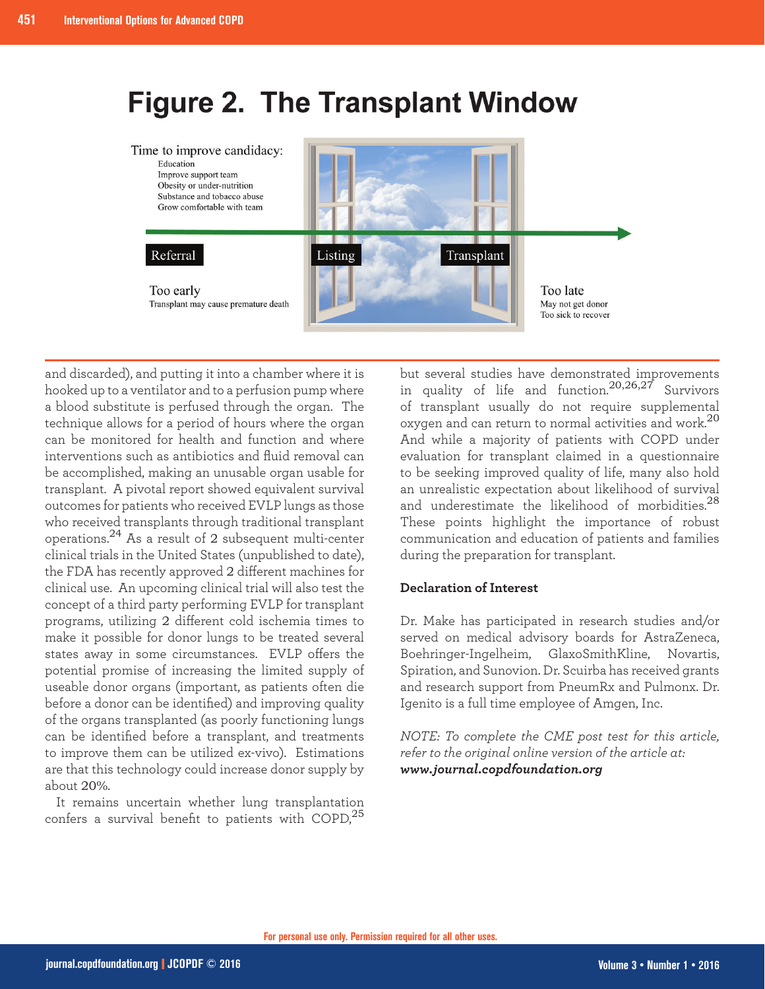# **Figure 2. The Transplant Window**



and discarded), and putting it into a chamber where it is hooked up to a ventilator and to a perfusion pump where a blood substitute is perfused through the organ. The technique allows for a period of hours where the organ can be monitored for health and function and where interventions such as antibiotics and fluid removal can be accomplished, making an unusable organ usable for transplant. A pivotal report showed equivalent survival outcomes for patients who received EVLP lungs as those who received transplants through traditional transplant operations.24 As a result of 2 subsequent multi-center clinical trials in the United States (unpublished to date), the FDA has recently approved 2 different machines for clinical use. An upcoming clinical trial will also test the concept of a third party performing EVLP for transplant programs, utilizing 2 different cold ischemia times to make it possible for donor lungs to be treated several states away in some circumstances. EVLP offers the potential promise of increasing the limited supply of useable donor organs (important, as patients often die before a donor can be identified) and improving quality of the organs transplanted (as poorly functioning lungs can be identified before a transplant, and treatments to improve them can be utilized ex-vivo). Estimations are that this technology could increase donor supply by about 20%.

It remains uncertain whether lung transplantation confers a survival benefit to patients with COPD, $^{25}$ 

but several studies have demonstrated improvements in quality of life and function.20,26,27 Survivors of transplant usually do not require supplemental oxygen and can return to normal activities and work.<sup>20</sup> And while a majority of patients with COPD under evaluation for transplant claimed in a questionnaire to be seeking improved quality of life, many also hold an unrealistic expectation about likelihood of survival and underestimate the likelihood of morbidities.<sup>28</sup> These points highlight the importance of robust communication and education of patients and families during the preparation for transplant.

#### **Declaration of Interest**

Dr. Make has participated in research studies and/or served on medical advisory boards for AstraZeneca, Boehringer-Ingelheim, GlaxoSmithKline, Novartis, Spiration, and Sunovion. Dr. Scuirba has received grants and research support from PneumRx and Pulmonx. Dr. Igenito is a full time employee of Amgen, Inc.

*NOTE: To complete the CME post test for this article, refer to the original online version of the article at: www.journal.copdfoundation.org*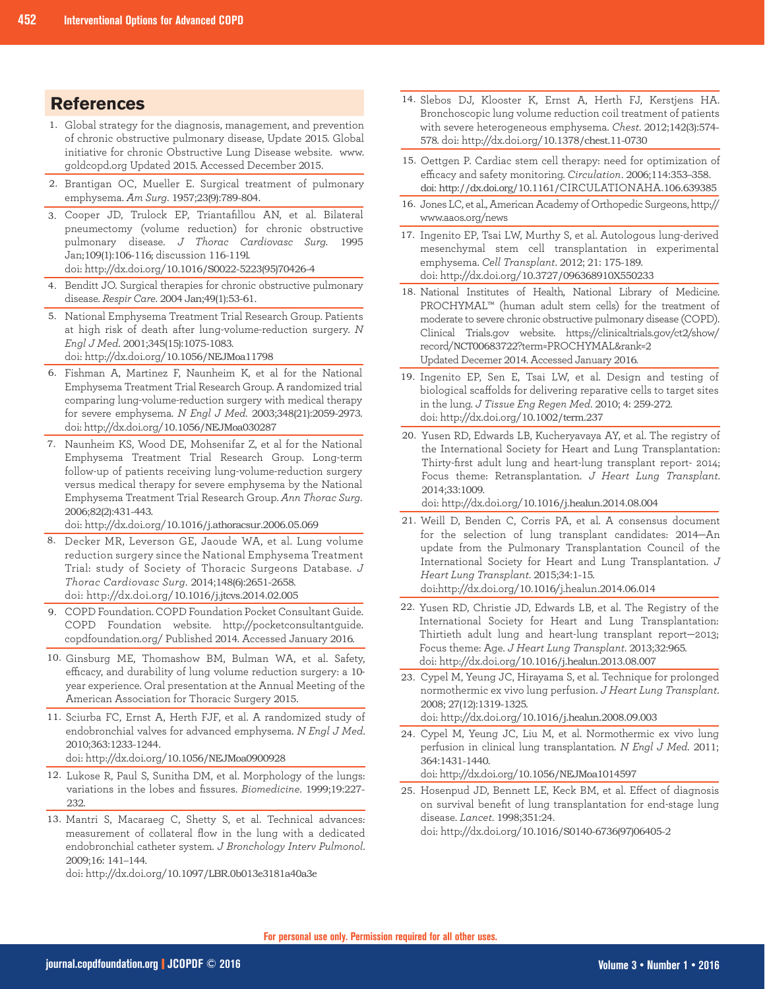## **References**

- Global strategy for the diagnosis, management, and prevention 1. of chronic obstructive pulmonary disease, Update 2015. Global initiative for chronic Obstructive Lung Disease website. www. goldcopd.org Updated 2015. Accessed December 2015.
- 2. Brantigan OC, Mueller E. Surgical treatment of pulmonary emphysema. *Am Surg*. 1957;23(9):789-804.
- Cooper JD, Trulock EP, Triantafillou AN, et al. Bilateral 3. pneumectomy (volume reduction) for chronic obstructive pulmonary disease. *J Thorac Cardiovasc Surg.* 1995 Jan;109(1):106-116; discussion 116-119l. doi: http://dx.doi.org/10.1016/S0022-5223(95)70426-4
- 4. Benditt JO. Surgical therapies for chronic obstructive pulmonary disease. *Respir Care*. 2004 Jan;49(1):53-61.
- National Emphysema Treatment Trial Research Group. Patients 5. at high risk of death after lung-volume-reduction surgery. *N Engl J Med*. 2001;345(15):1075-1083. doi: http://dx.doi.org/10.1056/NEJMoa11798
- Fishman A, Martinez F, Naunheim K, et al for the National 6. Emphysema Treatment Trial Research Group. A randomized trial comparing lung-volume-reduction surgery with medical therapy for severe emphysema. *N Engl J Med*. 2003;348(21):2059-2973. doi: http://dx.doi.org/10.1056/NEJMoa030287
- 7. Naunheim KS, Wood DE, Mohsenifar Z, et al for the National Emphysema Treatment Trial Research Group. Long-term follow-up of patients receiving lung-volume-reduction surgery versus medical therapy for severe emphysema by the National Emphysema Treatment Trial Research Group. *Ann Thorac Surg*. 2006;82(2):431-443.

doi: http://dx.doi.org/10.1016/j.athoracsur.2006.05.069

- Decker MR, Leverson GE, Jaoude WA, et al. Lung volume 8. reduction surgery since the National Emphysema Treatment Trial: study of Society of Thoracic Surgeons Database. *J Thorac Cardiovasc Surg*. 2014;148(6):2651-2658. doi: http://dx.doi.org/10.1016/j.jtcvs.2014.02.005
- COPD Foundation. COPD Foundation Pocket Consultant Guide. 9. COPD Foundation website. http://pocketconsultantguide. copdfoundation.org/ Published 2014. Accessed January 2016.
- 10. Ginsburg ME, Thomashow BM, Bulman WA, et al. Safety, efficacy, and durability of lung volume reduction surgery: a 10 year experience. Oral presentation at the Annual Meeting of the American Association for Thoracic Surgery 2015.
- 11. Sciurba FC, Ernst A, Herth FJF, et al. A randomized study of endobronchial valves for advanced emphysema. *N Engl J Med*. 2010;363:1233-1244.

doi: http://dx.doi.org/10.1056/NEJMoa0900928

- 12. Lukose R, Paul S, Sunitha DM, et al. Morphology of the lungs: variations in the lobes and fissures. *Biomedicine*. 1999;19:227- 232.
- 13. Mantri S, Macaraeg C, Shetty S, et al. Technical advances: measurement of collateral flow in the lung with a dedicated endobronchial catheter system. *J Bronchology Interv Pulmonol*. 2009;16: 141–144.

doi: http://dx.doi.org/10.1097/LBR.0b013e3181a40a3e

- 14. Slebos DJ, Klooster K, Ernst A, Herth FJ, Kerstjens HA. Bronchoscopic lung volume reduction coil treatment of patients with severe heterogeneous emphysema. *Chest*. 2012;142(3):574- 578. doi: http://dx.doi.org/10.1378/chest.11-0730
- 15. Oettgen P. Cardiac stem cell therapy: need for optimization of efficacy and safety monitoring. *Circulation*. 2006;114:353–358. doi: http://dx.doi.org/10.1161/CIRCULATIONAHA.106.639385
- 16. Jones LC, et al., American Academy of Orthopedic Surgeons, http:// www.aaos.org/news
- 17. Ingenito EP, Tsai LW, Murthy S, et al. Autologous lung-derived mesenchymal stem cell transplantation in experimental emphysema. *Cell Transplant*. 2012; 21: 175-189. doi: http://dx.doi.org/10.3727/096368910X550233
- 18. National Institutes of Health, National Library of Medicine. PROCHYMAL™ (human adult stem cells) for the treatment of moderate to severe chronic obstructive pulmonary disease (COPD). Clinical Trials.gov website. https://clinicaltrials.gov/ct2/show/ record/NCT00683722?term=PROCHYMAL&rank=2 Updated Decemer 2014. Accessed January 2016.
- 19. Ingenito EP, Sen E, Tsai LW, et al. Design and testing of biological scaffolds for delivering reparative cells to target sites in the lung. *J Tissue Eng Regen Med*. 2010; 4: 259-272. doi: http://dx.doi.org/10.1002/term.237
- 20. Yusen RD, Edwards LB, Kucheryavaya AY, et al. The registry of the International Society for Heart and Lung Transplantation: Thirty-first adult lung and heart-lung transplant report- 2014; Focus theme: Retransplantation. *J Heart Lung Transplant*. 2014;33:1009.

doi: http://dx.doi.org/10.1016/j.healun.2014.08.004

- Weill D, Benden C, Corris PA, et al. A consensus document 21. for the selection of lung transplant candidates: 2014—An update from the Pulmonary Transplantation Council of the International Society for Heart and Lung Transplantation. *J Heart Lung Transplant*. 2015;34:1-15. doi:http://dx.doi.org/10.1016/j.healun.2014.06.014
- 22. Yusen RD, Christie JD, Edwards LB, et al. The Registry of the International Society for Heart and Lung Transplantation: Thirtieth adult lung and heart-lung transplant report—2013; Focus theme: Age. *J Heart Lung Transplant*. 2013;32:965. doi: http://dx.doi.org/10.1016/j.healun.2013.08.007
- 23. Cypel M, Yeung JC, Hirayama S, et al. Technique for prolonged normothermic ex vivo lung perfusion. *J Heart Lung Transplant*. 2008; 27(12):1319-1325. doi: http://dx.doi.org/10.1016/j.healun.2008.09.003
- 24. Cypel M, Yeung JC, Liu M, et al. Normothermic ex vivo lung perfusion in clinical lung transplantation. *N Engl J Med*. 2011; 364:1431-1440.

doi: http://dx.doi.org/10.1056/NEJMoa1014597

25. Hosenpud JD, Bennett LE, Keck BM, et al. Effect of diagnosis on survival benefit of lung transplantation for end-stage lung disease. *Lancet*. 1998;351:24. doi: http://dx.doi.org/10.1016/S0140-6736(97)06405-2